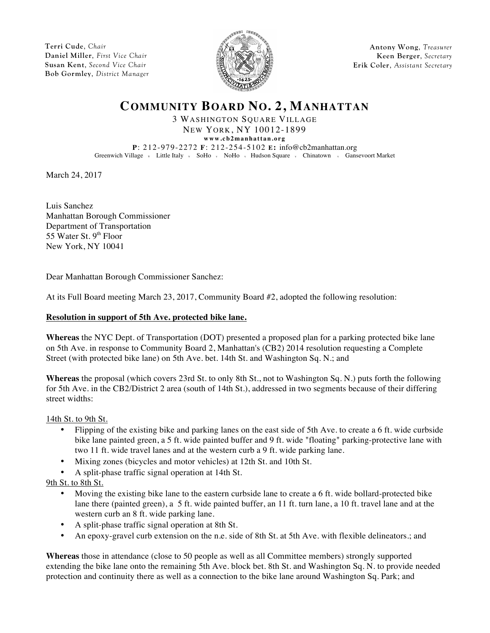**Terri Cude**, *Chair* **Daniel Miller**, *First Vice Chair* **Susan Kent**, *Second Vice Chair* **Bob Gormley**, *District Manager*



**Antony Wong**, *Treasurer* **Keen Berger**, *Secretary* **Erik Coler**, *Assistant Secretary*

# **COMMUNITY BOARD NO. 2, MANHATTAN**

3 WASHINGTON SQUARE VILLAGE NEW YORK, NY 10012-1899

**www.cb2manhattan.org**

**P**: 212-979-2272 **F**: 212-254-5102 **E:** info@cb2manhattan.org Greenwich Village v Little Italy v SoHo v NoHo v Hudson Square v Chinatown v Gansevoort Market

March 24, 2017

Luis Sanchez Manhattan Borough Commissioner Department of Transportation 55 Water St.  $9<sup>th</sup>$  Floor New York, NY 10041

Dear Manhattan Borough Commissioner Sanchez:

At its Full Board meeting March 23, 2017, Community Board #2, adopted the following resolution:

## **Resolution in support of 5th Ave. protected bike lane.**

**Whereas** the NYC Dept. of Transportation (DOT) presented a proposed plan for a parking protected bike lane on 5th Ave. in response to Community Board 2, Manhattan's (CB2) 2014 resolution requesting a Complete Street (with protected bike lane) on 5th Ave. bet. 14th St. and Washington Sq. N.; and

**Whereas** the proposal (which covers 23rd St. to only 8th St., not to Washington Sq. N.) puts forth the following for 5th Ave. in the CB2/District 2 area (south of 14th St.), addressed in two segments because of their differing street widths:

14th St. to 9th St.

- Flipping of the existing bike and parking lanes on the east side of 5th Ave. to create a 6 ft. wide curbside bike lane painted green, a 5 ft. wide painted buffer and 9 ft. wide "floating" parking-protective lane with two 11 ft. wide travel lanes and at the western curb a 9 ft. wide parking lane.
- Mixing zones (bicycles and motor vehicles) at 12th St. and 10th St.
- A split-phase traffic signal operation at 14th St.

9th St. to 8th St.

- Moving the existing bike lane to the eastern curbside lane to create a 6 ft. wide bollard-protected bike lane there (painted green), a 5 ft. wide painted buffer, an 11 ft. turn lane, a 10 ft. travel lane and at the western curb an 8 ft. wide parking lane.
- A split-phase traffic signal operation at 8th St.
- An epoxy-gravel curb extension on the n.e. side of 8th St. at 5th Ave. with flexible delineators.; and

**Whereas** those in attendance (close to 50 people as well as all Committee members) strongly supported extending the bike lane onto the remaining 5th Ave. block bet. 8th St. and Washington Sq. N. to provide needed protection and continuity there as well as a connection to the bike lane around Washington Sq. Park; and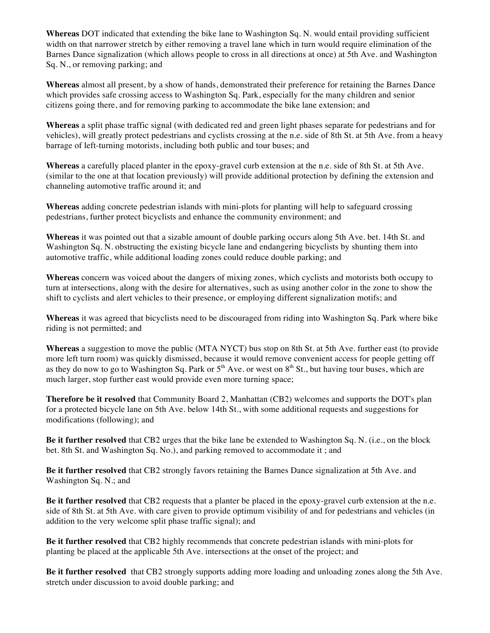**Whereas** DOT indicated that extending the bike lane to Washington Sq. N. would entail providing sufficient width on that narrower stretch by either removing a travel lane which in turn would require elimination of the Barnes Dance signalization (which allows people to cross in all directions at once) at 5th Ave. and Washington Sq. N., or removing parking; and

**Whereas** almost all present, by a show of hands, demonstrated their preference for retaining the Barnes Dance which provides safe crossing access to Washington Sq. Park, especially for the many children and senior citizens going there, and for removing parking to accommodate the bike lane extension; and

**Whereas** a split phase traffic signal (with dedicated red and green light phases separate for pedestrians and for vehicles), will greatly protect pedestrians and cyclists crossing at the n.e. side of 8th St. at 5th Ave. from a heavy barrage of left-turning motorists, including both public and tour buses; and

**Whereas** a carefully placed planter in the epoxy-gravel curb extension at the n.e. side of 8th St. at 5th Ave. (similar to the one at that location previously) will provide additional protection by defining the extension and channeling automotive traffic around it; and

**Whereas** adding concrete pedestrian islands with mini-plots for planting will help to safeguard crossing pedestrians, further protect bicyclists and enhance the community environment; and

**Whereas** it was pointed out that a sizable amount of double parking occurs along 5th Ave. bet. 14th St. and Washington Sq. N. obstructing the existing bicycle lane and endangering bicyclists by shunting them into automotive traffic, while additional loading zones could reduce double parking; and

**Whereas** concern was voiced about the dangers of mixing zones, which cyclists and motorists both occupy to turn at intersections, along with the desire for alternatives, such as using another color in the zone to show the shift to cyclists and alert vehicles to their presence, or employing different signalization motifs; and

**Whereas** it was agreed that bicyclists need to be discouraged from riding into Washington Sq. Park where bike riding is not permitted; and

**Whereas** a suggestion to move the public (MTA NYCT) bus stop on 8th St. at 5th Ave. further east (to provide more left turn room) was quickly dismissed, because it would remove convenient access for people getting off as they do now to go to Washington Sq. Park or  $5<sup>th</sup>$  Ave. or west on  $8<sup>th</sup>$  St., but having tour buses, which are much larger, stop further east would provide even more turning space;

**Therefore be it resolved** that Community Board 2, Manhattan (CB2) welcomes and supports the DOT's plan for a protected bicycle lane on 5th Ave. below 14th St., with some additional requests and suggestions for modifications (following); and

**Be it further resolved** that CB2 urges that the bike lane be extended to Washington Sq. N. (i.e., on the block bet. 8th St. and Washington Sq. No.), and parking removed to accommodate it ; and

**Be it further resolved** that CB2 strongly favors retaining the Barnes Dance signalization at 5th Ave. and Washington Sq. N.; and

**Be it further resolved** that CB2 requests that a planter be placed in the epoxy-gravel curb extension at the n.e. side of 8th St. at 5th Ave. with care given to provide optimum visibility of and for pedestrians and vehicles (in addition to the very welcome split phase traffic signal); and

**Be it further resolved** that CB2 highly recommends that concrete pedestrian islands with mini-plots for planting be placed at the applicable 5th Ave. intersections at the onset of the project; and

**Be it further resolved** that CB2 strongly supports adding more loading and unloading zones along the 5th Ave. stretch under discussion to avoid double parking; and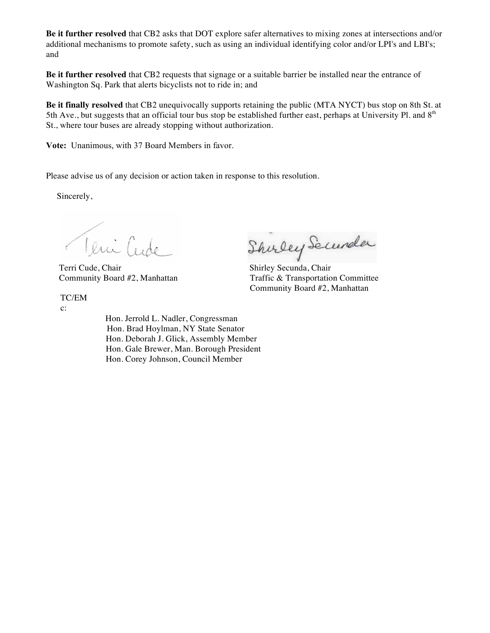**Be it further resolved** that CB2 asks that DOT explore safer alternatives to mixing zones at intersections and/or additional mechanisms to promote safety, such as using an individual identifying color and/or LPI's and LBI's; and

**Be it further resolved** that CB2 requests that signage or a suitable barrier be installed near the entrance of Washington Sq. Park that alerts bicyclists not to ride in; and

**Be it finally resolved** that CB2 unequivocally supports retaining the public (MTA NYCT) bus stop on 8th St. at 5th Ave., but suggests that an official tour bus stop be established further east, perhaps at University Pl. and  $8<sup>th</sup>$ St., where tour buses are already stopping without authorization.

**Vote:** Unanimous, with 37 Board Members in favor.

Please advise us of any decision or action taken in response to this resolution.

Sincerely,

Teni Cude

TC/EM

c:

 Hon. Jerrold L. Nadler, Congressman Hon. Brad Hoylman, NY State Senator Hon. Deborah J. Glick, Assembly Member Hon. Gale Brewer, Man. Borough President Hon. Corey Johnson, Council Member

Veuillet Shirley Securela

Community Board #2, Manhattan Traffic & Transportation Committee Community Board #2, Manhattan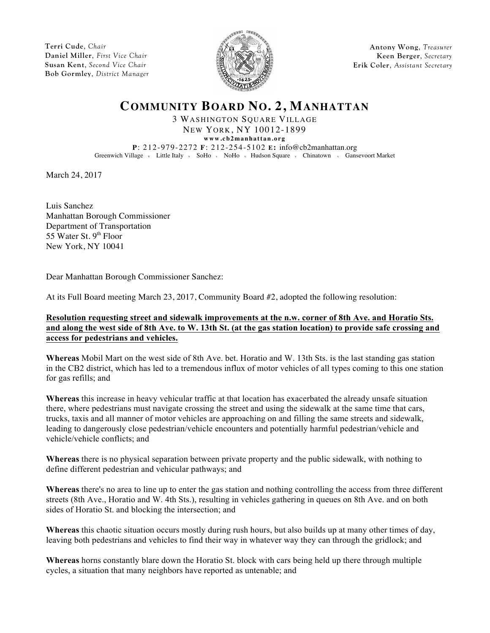**Terri Cude**, *Chair* **Daniel Miller**, *First Vice Chair* **Susan Kent**, *Second Vice Chair* **Bob Gormley**, *District Manager*



**Antony Wong**, *Treasurer* **Keen Berger**, *Secretary* **Erik Coler**, *Assistant Secretary*

# **COMMUNITY BOARD NO. 2, MANHATTAN**

3 WASHINGTON SQUARE VILLAGE NEW YORK, NY 10012-1899

**www.cb2manhattan.org**

**P**: 212-979-2272 **F**: 212-254-5102 **E:** info@cb2manhattan.org Greenwich Village v Little Italy v SoHo v NoHo v Hudson Square v Chinatown v Gansevoort Market

March 24, 2017

Luis Sanchez Manhattan Borough Commissioner Department of Transportation 55 Water St.  $9<sup>th</sup>$  Floor New York, NY 10041

Dear Manhattan Borough Commissioner Sanchez:

At its Full Board meeting March 23, 2017, Community Board #2, adopted the following resolution:

## **Resolution requesting street and sidewalk improvements at the n.w. corner of 8th Ave. and Horatio Sts. and along the west side of 8th Ave. to W. 13th St. (at the gas station location) to provide safe crossing and access for pedestrians and vehicles.**

**Whereas** Mobil Mart on the west side of 8th Ave. bet. Horatio and W. 13th Sts. is the last standing gas station in the CB2 district, which has led to a tremendous influx of motor vehicles of all types coming to this one station for gas refills; and

**Whereas** this increase in heavy vehicular traffic at that location has exacerbated the already unsafe situation there, where pedestrians must navigate crossing the street and using the sidewalk at the same time that cars, trucks, taxis and all manner of motor vehicles are approaching on and filling the same streets and sidewalk, leading to dangerously close pedestrian/vehicle encounters and potentially harmful pedestrian/vehicle and vehicle/vehicle conflicts; and

**Whereas** there is no physical separation between private property and the public sidewalk, with nothing to define different pedestrian and vehicular pathways; and

**Whereas** there's no area to line up to enter the gas station and nothing controlling the access from three different streets (8th Ave., Horatio and W. 4th Sts.), resulting in vehicles gathering in queues on 8th Ave. and on both sides of Horatio St. and blocking the intersection; and

**Whereas** this chaotic situation occurs mostly during rush hours, but also builds up at many other times of day, leaving both pedestrians and vehicles to find their way in whatever way they can through the gridlock; and

**Whereas** horns constantly blare down the Horatio St. block with cars being held up there through multiple cycles, a situation that many neighbors have reported as untenable; and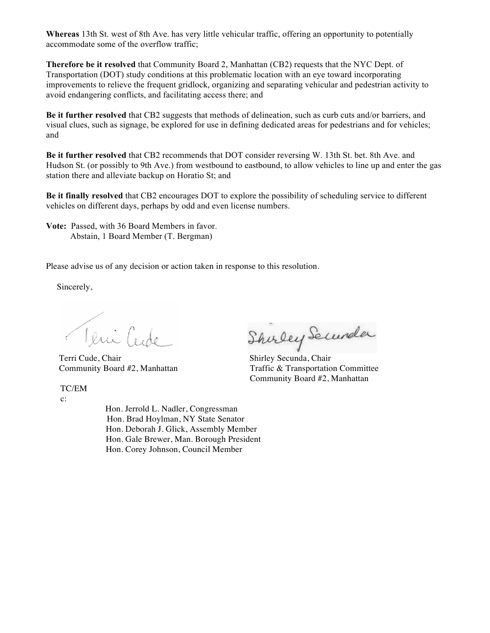**Whereas** 13th St. west of 8th Ave. has very little vehicular traffic, offering an opportunity to potentially accommodate some of the overflow traffic;

**Therefore be it resolved** that Community Board 2, Manhattan (CB2) requests that the NYC Dept. of Transportation (DOT) study conditions at this problematic location with an eye toward incorporating improvements to relieve the frequent gridlock, organizing and separating vehicular and pedestrian activity to avoid endangering conflicts, and facilitating access there; and

**Be it further resolved** that CB2 suggests that methods of delineation, such as curb cuts and/or barriers, and visual clues, such as signage, be explored for use in defining dedicated areas for pedestrians and for vehicles; and

**Be it further resolved** that CB2 recommends that DOT consider reversing W. 13th St. bet. 8th Ave. and Hudson St. (or possibly to 9th Ave.) from westbound to eastbound, to allow vehicles to line up and enter the gas station there and alleviate backup on Horatio St; and

**Be it finally resolved** that CB2 encourages DOT to explore the possibility of scheduling service to different vehicles on different days, perhaps by odd and even license numbers.

**Vote:** Passed, with 36 Board Members in favor. Abstain, 1 Board Member (T. Bergman)

Please advise us of any decision or action taken in response to this resolution.

Sincerely,

Teni Cude

TC/EM

c:

 Hon. Jerrold L. Nadler, Congressman Hon. Brad Hoylman, NY State Senator Hon. Deborah J. Glick, Assembly Member Hon. Gale Brewer, Man. Borough President Hon. Corey Johnson, Council Member

Rui Cude Shurley Secundar<br>Terri Cude, Chair Shirley Secunda, Chair

Community Board #2, Manhattan Traffic & Transportation Committee Community Board #2, Manhattan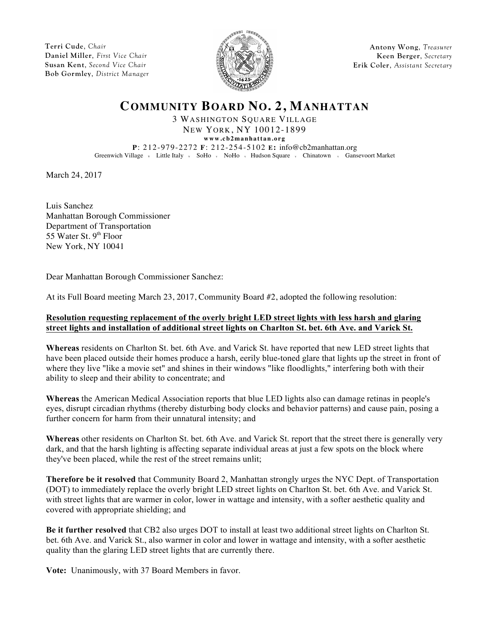**Terri Cude**, *Chair* **Daniel Miller**, *First Vice Chair* **Susan Kent**, *Second Vice Chair* **Bob Gormley**, *District Manager*



**Antony Wong**, *Treasurer* **Keen Berger**, *Secretary* **Erik Coler**, *Assistant Secretary*

# **COMMUNITY BOARD NO. 2, MANHATTAN**

3 WASHINGTON SQUARE VILLAGE NEW YORK, NY 10012-1899

**www.cb2manhattan.org**

**P**: 212-979-2272 **F**: 212-254-5102 **E:** info@cb2manhattan.org Greenwich Village v Little Italy v SoHo v NoHo v Hudson Square v Chinatown v Gansevoort Market

March 24, 2017

Luis Sanchez Manhattan Borough Commissioner Department of Transportation 55 Water St.  $9<sup>th</sup>$  Floor New York, NY 10041

Dear Manhattan Borough Commissioner Sanchez:

At its Full Board meeting March 23, 2017, Community Board #2, adopted the following resolution:

## **Resolution requesting replacement of the overly bright LED street lights with less harsh and glaring street lights and installation of additional street lights on Charlton St. bet. 6th Ave. and Varick St.**

**Whereas** residents on Charlton St. bet. 6th Ave. and Varick St. have reported that new LED street lights that have been placed outside their homes produce a harsh, eerily blue-toned glare that lights up the street in front of where they live "like a movie set" and shines in their windows "like floodlights," interfering both with their ability to sleep and their ability to concentrate; and

**Whereas** the American Medical Association reports that blue LED lights also can damage retinas in people's eyes, disrupt circadian rhythms (thereby disturbing body clocks and behavior patterns) and cause pain, posing a further concern for harm from their unnatural intensity; and

**Whereas** other residents on Charlton St. bet. 6th Ave. and Varick St. report that the street there is generally very dark, and that the harsh lighting is affecting separate individual areas at just a few spots on the block where they've been placed, while the rest of the street remains unlit;

**Therefore be it resolved** that Community Board 2, Manhattan strongly urges the NYC Dept. of Transportation (DOT) to immediately replace the overly bright LED street lights on Charlton St. bet. 6th Ave. and Varick St. with street lights that are warmer in color, lower in wattage and intensity, with a softer aesthetic quality and covered with appropriate shielding; and

**Be it further resolved** that CB2 also urges DOT to install at least two additional street lights on Charlton St. bet. 6th Ave. and Varick St., also warmer in color and lower in wattage and intensity, with a softer aesthetic quality than the glaring LED street lights that are currently there.

**Vote:** Unanimously, with 37 Board Members in favor.